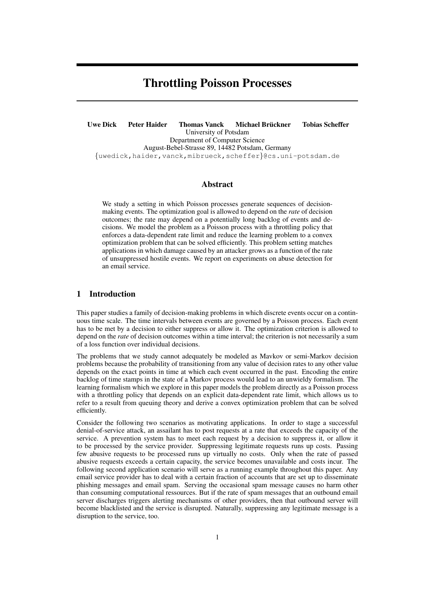# Throttling Poisson Processes

Uwe Dick Peter Haider in Thomas Vanck Michael Brückner in Tobias Scheffer University of Potsdam Department of Computer Science August-Bebel-Strasse 89, 14482 Potsdam, Germany *{*uwedick,haider,vanck,mibrueck,scheffer*}*@cs.uni-potsdam.de

# Abstract

We study a setting in which Poisson processes generate sequences of decisionmaking events. The optimization goal is allowed to depend on the *rate* of decision outcomes; the rate may depend on a potentially long backlog of events and decisions. We model the problem as a Poisson process with a throttling policy that enforces a data-dependent rate limit and reduce the learning problem to a convex optimization problem that can be solved efficiently. This problem setting matches applications in which damage caused by an attacker grows as a function of the rate of unsuppressed hostile events. We report on experiments on abuse detection for an email service.

# 1 Introduction

This paper studies a family of decision-making problems in which discrete events occur on a continuous time scale. The time intervals between events are governed by a Poisson process. Each event has to be met by a decision to either suppress or allow it. The optimization criterion is allowed to depend on the *rate* of decision outcomes within a time interval; the criterion is not necessarily a sum of a loss function over individual decisions.

The problems that we study cannot adequately be modeled as Mavkov or semi-Markov decision problems because the probability of transitioning from any value of decision rates to any other value depends on the exact points in time at which each event occurred in the past. Encoding the entire backlog of time stamps in the state of a Markov process would lead to an unwieldy formalism. The learning formalism which we explore in this paper models the problem directly as a Poisson process with a throttling policy that depends on an explicit data-dependent rate limit, which allows us to refer to a result from queuing theory and derive a convex optimization problem that can be solved efficiently.

Consider the following two scenarios as motivating applications. In order to stage a successful denial-of-service attack, an assailant has to post requests at a rate that exceeds the capacity of the service. A prevention system has to meet each request by a decision to suppress it, or allow it to be processed by the service provider. Suppressing legitimate requests runs up costs. Passing few abusive requests to be processed runs up virtually no costs. Only when the rate of passed abusive requests exceeds a certain capacity, the service becomes unavailable and costs incur. The following second application scenario will serve as a running example throughout this paper. Any email service provider has to deal with a certain fraction of accounts that are set up to disseminate phishing messages and email spam. Serving the occasional spam message causes no harm other than consuming computational ressources. But if the rate of spam messages that an outbound email server discharges triggers alerting mechanisms of other providers, then that outbound server will become blacklisted and the service is disrupted. Naturally, suppressing any legitimate message is a disruption to the service, too.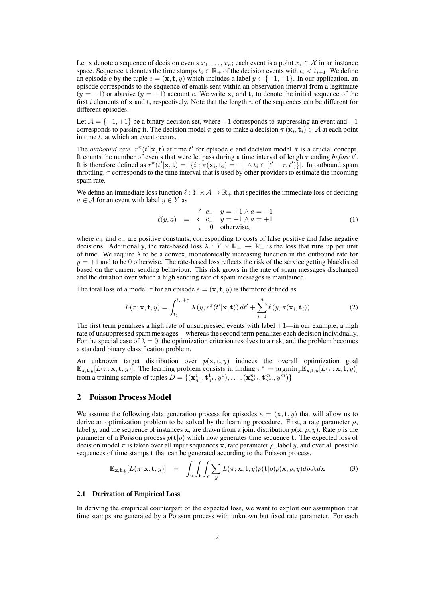Let **x** denote a sequence of decision events  $x_1, \ldots, x_n$ ; each event is a point  $x_i \in \mathcal{X}$  in an instance space. Sequence **t** denotes the time stamps  $t_i \in \mathbb{R}_+$  of the decision events with  $t_i \leq t_{i+1}$ . We define an episode *e* by the tuple  $e = (\mathbf{x}, \mathbf{t}, y)$  which includes a label  $y \in \{-1, +1\}$ . In our application, an episode corresponds to the sequence of emails sent within an observation interval from a legitimate  $(y = -1)$  or abusive  $(y = +1)$  account *e*. We write  $x_i$  and  $t_i$  to denote the initial sequence of the first *i* elements of **x** and **t**, respectively. Note that the length *n* of the sequences can be different for different episodes.

Let  $A = \{-1, +1\}$  be a binary decision set, where  $+1$  corresponds to suppressing an event and  $-1$ corresponds to passing it. The decision model  $\pi$  gets to make a decision  $\pi$  ( $\mathbf{x}_i, \mathbf{t}_i$ )  $\in \mathcal{A}$  at each point in time *t<sup>i</sup>* at which an event occurs.

The *outbound rate*  $r^{\pi}(t'|\mathbf{x}, \mathbf{t})$  at time  $t'$  for episode *e* and decision model  $\pi$  is a crucial concept. It counts the number of events that were let pass during a time interval of lengh *τ* ending *before t ′* . It is therefore defined as  $r^{\pi}(t'|\mathbf{x}, \mathbf{t}) = |\{i : \pi(\mathbf{x}_i, \mathbf{t}_i) = -1 \land t_i \in [t' - \tau, t')\}|$ . In outbound spam throttling, *τ* corresponds to the time interval that is used by other providers to estimate the incoming spam rate.

We define an immediate loss function  $\ell : Y \times A \to \mathbb{R}_+$  that specifies the immediate loss of deciding *a* ∈ *A* for an event with label  $y \text{ } \in Y$  as

$$
\ell(y, a) = \begin{cases} c_+ & y = +1 \land a = -1 \\ c_- & y = -1 \land a = +1 \\ 0 & \text{otherwise,} \end{cases}
$$
 (1)

where *c*<sup>+</sup> and *c<sup>−</sup>* are positive constants, corresponding to costs of false positive and false negative decisions. Additionally, the rate-based loss  $\lambda : Y \times \mathbb{R}_+ \to \mathbb{R}_+$  is the loss that runs up per unit of time. We require  $\lambda$  to be a convex, monotonically increasing function in the outbound rate for  $y = +1$  and to be 0 otherwise. The rate-based loss reflects the risk of the service getting blacklisted based on the current sending behaviour. This risk grows in the rate of spam messages discharged and the duration over which a high sending rate of spam messages is maintained.

The total loss of a model  $\pi$  for an episode  $e = (\mathbf{x}, \mathbf{t}, y)$  is therefore defined as

$$
L(\pi; \mathbf{x}, \mathbf{t}, y) = \int_{t_1}^{t_n + \tau} \lambda(y, r^{\pi}(t'|\mathbf{x}, \mathbf{t})) dt' + \sum_{i=1}^{n} \ell(y, \pi(\mathbf{x}_i, \mathbf{t}_i))
$$
(2)

The first term penalizes a high rate of unsuppressed events with label  $+1$ —in our example, a high rate of unsuppressed spam messages—whereas the second term penalizes each decision individually. For the special case of  $\lambda = 0$ , the optimization criterion resolves to a risk, and the problem becomes a standard binary classification problem.

An unknown target distribution over  $p(x, t, y)$  induces the overall optimization goal  $\mathbb{E}_{\mathbf{x},\mathbf{t},y}[L(\pi;\mathbf{x},\mathbf{t},y)]$ . The learning problem consists in finding  $\pi^* = \operatorname{argmin}_{\pi} \mathbb{E}_{\mathbf{x},\mathbf{t},y}[L(\pi;\mathbf{x},\mathbf{t},y)]$ from a training sample of tuples  $D = \{(\mathbf{x}_{n1}^1, \mathbf{t}_{n1}^1, y^1), \dots, (\mathbf{x}_{n^m}^m, \mathbf{t}_{n^m}^m, y^m)\}.$ 

#### 2 Poisson Process Model

We assume the following data generation process for episodes  $e = (\mathbf{x}, \mathbf{t}, y)$  that will allow us to derive an optimization problem to be solved by the learning procedure. First, a rate parameter *ρ*, label *y*, and the sequence of instances **x**, are drawn from a joint distribution  $p(\mathbf{x}, \rho, y)$ . Rate  $\rho$  is the parameter of a Poisson process  $p(\mathbf{t}|\rho)$  which now generates time sequence **t**. The expected loss of decision model *π* is taken over all input sequences **x**, rate parameter *ρ*, label *y*, and over all possible sequences of time stamps **t** that can be generated according to the Poisson process.

$$
\mathbb{E}_{\mathbf{x},\mathbf{t},y}[L(\pi;\mathbf{x},\mathbf{t},y)] = \int_{\mathbf{x}} \int_{\mathbf{t}} \int_{\rho} \sum_{y} L(\pi;\mathbf{x},\mathbf{t},y) p(\mathbf{t}|\rho) p(\mathbf{x},\rho,y) d\rho d\mathbf{t} d\mathbf{x}
$$
 (3)

#### 2.1 Derivation of Empirical Loss

In deriving the empirical counterpart of the expected loss, we want to exploit our assumption that time stamps are generated by a Poisson process with unknown but fixed rate parameter. For each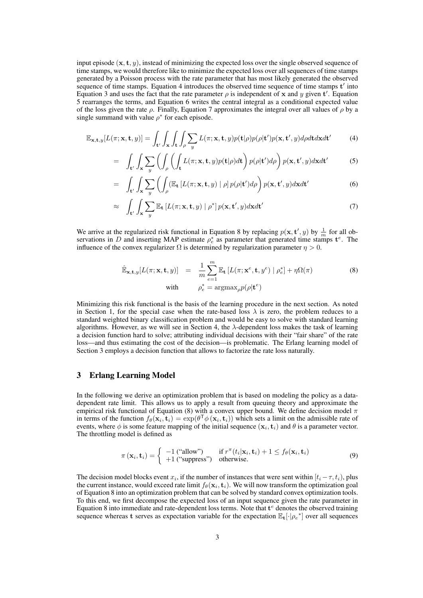input episode  $(\mathbf{x}, \mathbf{t}, y)$ , instead of minimizing the expected loss over the single observed sequence of time stamps, we would therefore like to minimize the expected loss over all sequences of time stamps generated by a Poisson process with the rate parameter that has most likely generated the observed sequence of time stamps. Equation 4 introduces the observed time sequence of time stamps **t** *′* into Equation 3 and uses the fact that the rate parameter  $\rho$  is independent of **x** and *y* given **t**'. Equation 5 rearranges the terms, and Equation 6 writes the central integral as a conditional expected value of the loss given the rate  $\rho$ . Finally, Equation 7 approximates the integral over all values of  $\rho$  by a single summand with value  $\rho^*$  for each episode.

$$
\mathbb{E}_{\mathbf{x},\mathbf{t},y}[L(\pi;\mathbf{x},\mathbf{t},y)] = \int_{\mathbf{t}'} \int_{\mathbf{x}} \int_{\mathbf{t}} \int_{\rho} \sum_{y} L(\pi;\mathbf{x},\mathbf{t},y) p(\mathbf{t}|\rho) p(\rho|\mathbf{t}') p(\mathbf{x},\mathbf{t}',y) d\rho d\mathbf{t} d\mathbf{x} d\mathbf{t}'
$$
 (4)

$$
= \int_{\mathbf{t}'} \int_{\mathbf{x}} \sum_{y} \left( \int_{\rho} \left( \int_{\mathbf{t}} L(\pi; \mathbf{x}, \mathbf{t}, y) p(\mathbf{t} | \rho) d\mathbf{t} \right) p(\rho | \mathbf{t}') d\rho \right) p(\mathbf{x}, \mathbf{t}', y) d\mathbf{x} d\mathbf{t}'
$$
 (5)

$$
= \int_{\mathbf{t}'} \int_{\mathbf{x}} \sum_{y} \left( \int_{\rho} (\mathbb{E}_{\mathbf{t}} \left[ L(\pi; \mathbf{x}, \mathbf{t}, y) \mid \rho \right] p(\rho | \mathbf{t}') d\rho \right) p(\mathbf{x}, \mathbf{t}', y) d\mathbf{x} d\mathbf{t}' \tag{6}
$$

$$
\approx \int_{\mathbf{t}'} \int_{\mathbf{x}} \sum_{y} \mathbb{E}_{\mathbf{t}} \left[ L(\pi; \mathbf{x}, \mathbf{t}, y) \mid \rho^* \right] p(\mathbf{x}, \mathbf{t}', y) d\mathbf{x} d\mathbf{t}' \tag{7}
$$

We arrive at the regularized risk functional in Equation 8 by replacing  $p(\mathbf{x}, \mathbf{t}', y)$  by  $\frac{1}{m}$  for all observations in *D* and inserting MAP estimate  $\rho_e^*$  as parameter that generated time stamps  $\mathbf{t}^e$ . The influence of the convex regularizer  $\Omega$  is determined by regularization parameter  $\eta > 0$ .

$$
\hat{\mathbb{E}}_{\mathbf{x},\mathbf{t},y}[L(\pi;\mathbf{x},\mathbf{t},y)] = \frac{1}{m} \sum_{e=1}^{m} \mathbb{E}_{\mathbf{t}} \left[ L(\pi;\mathbf{x}^e,\mathbf{t},y^e) \mid \rho_e^* \right] + \eta \Omega(\pi)
$$
\n
$$
\text{with} \qquad \rho_e^* = \operatorname{argmax}_{\rho} p(\rho | \mathbf{t}^e)
$$
\n(8)

Minimizing this risk functional is the basis of the learning procedure in the next section. As noted in Section 1, for the special case when the rate-based loss  $\lambda$  is zero, the problem reduces to a standard weighted binary classification problem and would be easy to solve with standard learning algorithms. However, as we will see in Section 4, the  $\lambda$ -dependent loss makes the task of learning a decision function hard to solve; attributing individual decisions with their "fair share" of the rate loss—and thus estimating the cost of the decision—is problematic. The Erlang learning model of Section 3 employs a decision function that allows to factorize the rate loss naturally.

# 3 Erlang Learning Model

In the following we derive an optimization problem that is based on modeling the policy as a datadependent rate limit. This allows us to apply a result from queuing theory and approximate the empirical risk functional of Equation (8) with a convex upper bound. We define decision model *π* in terms of the function  $f_{\theta}(\mathbf{x}_i, \mathbf{t}_i) = \exp(\theta^{\mathsf{T}} \phi(\mathbf{x}_i, \mathbf{t}_i))$  which sets a limit on the admissible rate of events, where  $\phi$  is some feature mapping of the initial sequence  $(\mathbf{x}_i, \mathbf{t}_i)$  and  $\theta$  is a parameter vector. The throttling model is defined as

$$
\pi(\mathbf{x}_i, \mathbf{t}_i) = \begin{cases}\n-1 \text{ ("allow")} & \text{if } r^\pi(t_i | \mathbf{x}_i, \mathbf{t}_i) + 1 \le f_\theta(\mathbf{x}_i, \mathbf{t}_i) \\
+1 \text{ ("suppress")} & \text{otherwise.}\n\end{cases} \tag{9}
$$

The decision model blocks event  $x_i$ , if the number of instances that were sent within  $[t_i - \tau, t_i)$ , plus the current instance, would exceed rate limit  $f_{\theta}(\mathbf{x}_i, \mathbf{t}_i)$ . We will now transform the optimization goal of Equation 8 into an optimization problem that can be solved by standard convex optimization tools. To this end, we first decompose the expected loss of an input sequence given the rate parameter in Equation 8 into immediate and rate-dependent loss terms. Note that **t** *<sup>e</sup>* denotes the observed training sequence whereas **t** serves as expectation variable for the expectation E**t**[*·|ρ<sup>e</sup> ∗* ] over all sequences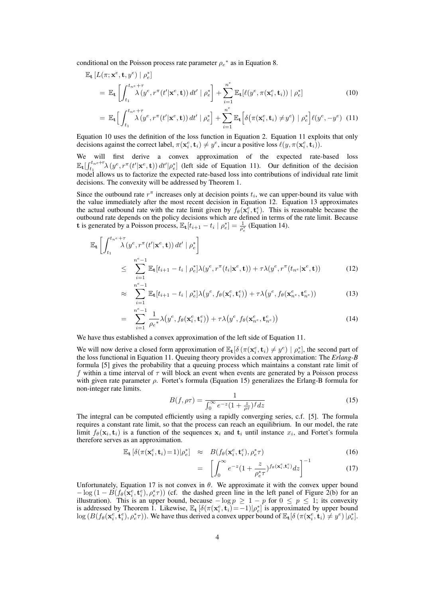conditional on the Poisson process rate parameter  $\rho_e^*$  as in Equation 8.

$$
\mathbb{E}_{\mathbf{t}}\left[L(\pi; \mathbf{x}^e, \mathbf{t}, y^e) \mid \rho_e^* \right] \n= \mathbb{E}_{\mathbf{t}}\left[\int_{t_1}^{t_n e + \tau} \lambda(y^e, r^{\pi}(t'|\mathbf{x}^e, \mathbf{t})) dt' \mid \rho_e^* \right] + \sum_{i=1}^{n^e} \mathbb{E}_{\mathbf{t}}[\ell(y^e, \pi(\mathbf{x}_i^e, \mathbf{t}_i)) \mid \rho_e^*]
$$
\n(10)

$$
= \mathbb{E}_{\mathbf{t}} \Big[ \int_{t_1}^{t_n e + \tau} \lambda \big( y^e, r^\pi(t' | \mathbf{x}^e, \mathbf{t}) \big) dt' \mid \rho_e^* \Big] + \sum_{i=1}^{n^e} \mathbb{E}_{\mathbf{t}} \Big[ \delta \big( \pi(\mathbf{x}_i^e, \mathbf{t}_i) \neq y^e \big) \mid \rho_e^* \Big] \ell(y^e, -y^e) \tag{11}
$$

Equation 10 uses the definition of the loss function in Equation 2. Equation 11 exploits that only decisions against the correct label,  $\pi(\mathbf{x}_i^e, \mathbf{t}_i) \neq y^e$ , incur a positive loss  $\ell(y, \pi(\mathbf{x}_i^e, \mathbf{t}_i))$ .

We will first derive a convex approximation of the expected rate-based loss  $\mathbb{E}_{\mathbf{t}}\left[\int_{t_1}^{t_n e+\tau} \lambda(y^e, r^{\pi}(t'|\mathbf{x}^e, \mathbf{t})) dt' |\rho_e^* \right]$  (left side of Equation 11). Our definition of the decision model allows us to factorize the expected rate-based loss into contributions of individual rate limit decisions. The convexity will be addressed by Theorem 1.

Since the outbound rate  $r^{\pi}$  increases only at decision points  $t_i$ , we can upper-bound its value with the value immediately after the most recent decision in Equation 12. Equation 13 approximates the actual outbound rate with the rate limit given by  $f_{\theta}(\mathbf{x}_i^e, \mathbf{t}_i^e)$ . This is reasonable because the outbound rate depends on the policy decisions which are defined in terms of the rate limit. Because **t** is generated by a Poisson process,  $\mathbb{E}_{\mathbf{t}}[t_{i+1} - t_i \mid \rho_e^*] = \frac{1}{\rho_e^*}$  (Equation 14).

$$
\mathbb{E}_{\mathbf{t}}\left[\int_{t_1}^{t_n e + \tau} \lambda(y^e, r^{\pi}(t'|\mathbf{x}^e, \mathbf{t})) dt' \mid \rho_e^*\right]
$$
\n
$$
\leq \sum_{i=1}^{n^e - 1} \mathbb{E}_{\mathbf{t}}[t_{i+1} - t_i \mid \rho_e^*] \lambda(y^e, r^{\pi}(t_i|\mathbf{x}^e, \mathbf{t})) + \tau \lambda(y^e, r^{\pi}(t_{n^e}|\mathbf{x}^e, \mathbf{t})) \tag{12}
$$

$$
\approx \sum_{i=1}^{n^e-1} \mathbb{E}_\mathbf{t}[t_{i+1}-t_i \mid \rho_e^*] \lambda\big(y^e, f_\theta(\mathbf{x}_i^e, \mathbf{t}_i^e)\big) + \tau \lambda\big(y^e, f_\theta(\mathbf{x}_{n^e}^e, \mathbf{t}_{n^e}^e)\big) \tag{13}
$$

$$
= \sum_{i=1}^{n^e-1} \frac{1}{\rho_e^*} \lambda \big(y^e, f_\theta(\mathbf{x}_i^e, \mathbf{t}_i^e) \big) + \tau \lambda \big(y^e, f_\theta(\mathbf{x}_{n^e}^e, \mathbf{t}_{n^e}^e) \big) \tag{14}
$$

We have thus established a convex approximation of the left side of Equation 11.

We will now derive a closed form approximation of  $\mathbb{E}_{\mathbf{t}}[\delta(\pi(\mathbf{x}_i^e, \mathbf{t}_i) \neq y^e) | \rho_e^*]$ , the second part of the loss functional in Equation 11. Queuing theory provides a convex approximation: The *Erlang-B* formula [5] gives the probability that a queuing process which maintains a constant rate limit of *f* within a time interval of *τ* will block an event when events are generated by a Poisson process with given rate parameter *ρ*. Fortet's formula (Equation 15) generalizes the Erlang-B formula for non-integer rate limits.

$$
B(f, \rho \tau) = \frac{1}{\int_0^\infty e^{-z} (1 + \frac{z}{\rho \tau})^f dz}
$$
\n(15)

The integral can be computed efficiently using a rapidly converging series, c.f. [5]. The formula requires a constant rate limit, so that the process can reach an equilibrium. In our model, the rate limit  $f_{\theta}(\mathbf{x}_i, \mathbf{t}_i)$  is a function of the sequences  $\mathbf{x}_i$  and  $\mathbf{t}_i$  until instance  $x_i$ , and Fortet's formula therefore serves as an approximation.

$$
\mathbb{E}_{\mathbf{t}}\left[\delta(\pi(\mathbf{x}_i^e, \mathbf{t}_i) = 1)|\rho_e^*\right] \approx B(f_\theta(\mathbf{x}_i^e, \mathbf{t}_i^e), \rho_e^*\tau) \tag{16}
$$

$$
= \left[ \int_0^\infty e^{-z} (1 + \frac{z}{\rho_e^* \tau})^{f_\theta(\mathbf{x}_i^e, \mathbf{t}_i^e)} dz \right]^{-1} \tag{17}
$$

Unfortunately, Equation 17 is not convex in  $\theta$ . We approximate it with the convex upper bound  $-\log(1 - B(f_\theta(\mathbf{x}_i^e, \mathbf{t}_i^e), \rho_e^*\tau))$  (cf. the dashed green line in the left panel of Figure 2(b) for an illustration). This is an upper bound, because  $-\log p \geq 1 - p$  for  $0 \leq p \leq 1$ ; its convexity is addressed by Theorem 1. Likewise,  $\mathbb{E}_{t} [\delta(\pi(\mathbf{x}_{i}^{e}, \mathbf{t}_{i}) = -1)|\rho_{e}^{*}]$  is approximated by upper bound  $\log(B(f_{\theta}(\mathbf{x}_i^e, \mathbf{t}_i^e), \rho_e^*\tau))$ . We have thus derived a convex upper bound of  $\mathbb{E}_{\mathbf{t}}[\delta(\pi(\mathbf{x}_i^e, \mathbf{t}_i) \neq y^e) | \rho_e^*]$ .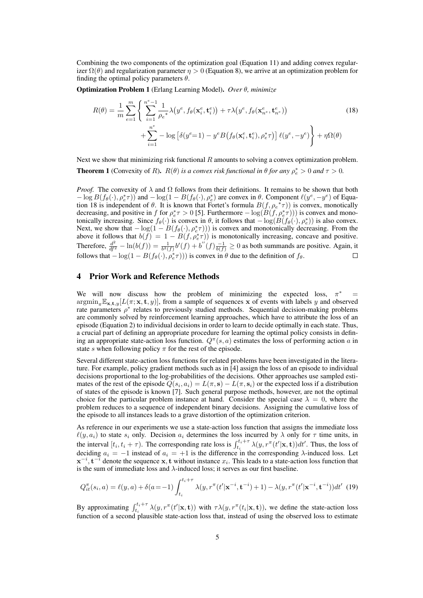Combining the two components of the optimization goal (Equation 11) and adding convex regularizer  $\Omega(\theta)$  and regularization parameter  $\eta > 0$  (Equation 8), we arrive at an optimization problem for finding the optimal policy parameters *θ*.

Optimization Problem 1 (Erlang Learning Model). *Over θ, minimize*

$$
R(\theta) = \frac{1}{m} \sum_{e=1}^{m} \left\{ \sum_{i=1}^{n^e-1} \frac{1}{\rho_e^*} \lambda \left( y^e, f_\theta(\mathbf{x}_i^e, \mathbf{t}_i^e) \right) + \tau \lambda \left( y^e, f_\theta(\mathbf{x}_n^e, \mathbf{t}_n^e) \right) \right. \left. + \sum_{i=1}^{n^e} -\log \left[ \delta(y^e-1) - y^e B \left( f_\theta(\mathbf{x}_i^e, \mathbf{t}_i^e), \rho_e^* \tau \right) \right] \ell(y^e, -y^e) \right\} + \eta \Omega(\theta)
$$
\n(18)

Next we show that minimizing risk functional *R* amounts to solving a convex optimization problem. **Theorem 1** (Convexity of *R*).  $R(\theta)$  *is a convex risk functional in*  $\theta$  *for any*  $\rho_e^* > 0$  *and*  $\tau > 0$ *.* 

*Proof.* The convexity of  $\lambda$  and  $\Omega$  follows from their definitions. It remains to be shown that both  $-\log B(f_{\theta}(\cdot), \rho_{e}^{*}\tau))$  and  $-\log(1 - B(f_{\theta}(\cdot), \rho_{e}^{*})$  are convex in  $\theta$ . Component  $\ell(y^{e}, -y^{e})$  of Equation 18 is independent of  $\theta$ . It is known that Fortet's formula  $B(f, \rho e^* \tau)$  is convex, monotically decreasing, and positive in *f* for  $\rho_e^* \tau > 0$  [5]. Furthermore  $-\log(B(f, \rho_e^* \tau)))$  is convex and monotonically increasing. Since  $f_{\theta}(\cdot)$  is convex in  $\theta$ , it follows that  $-\log(B(f_{\theta}(\cdot), \rho_{e}^{*}))$  is also convex. Form *e* interesting. Since  $f_{\theta}(\cdot)$  is convex in  $\theta$ , it follows that  $-\log(D(f_{\theta}(\cdot), p_{e}))$  is also convex.<br>Next, we show that  $-\log(1 - B(f_{\theta}(\cdot), p_{e}^{*}\tau)))$  is convex and monotonically decreasing. From the above it follows that  $b(f) = 1 - B(f, \rho_e^* \tau)$  is monotonically increasing, concave and positive. Therefore,  $\frac{d^2}{df^2} - \ln(b(f)) = \frac{1}{b^2(f)}b'(f) + b''(f)\frac{-1}{b(f)} \ge 0$  as both summands are positive. Again, it follows that  $-\log(1 - B(f_\theta(\cdot), \rho_e^* \tau)))$  is convex in  $\theta$  due to the definition of  $f_\theta$ .

# 4 Prior Work and Reference Methods

We will now discuss how the problem of minimizing the expected loss,  $\pi^*$  =  $\argmin_{\pi} \mathbb{E}_{\mathbf{x},\mathbf{t},y}[L(\pi;\mathbf{x},\mathbf{t},y)]$ , from a sample of sequences **x** of events with labels *y* and observed rate parameters  $\rho^*$  relates to previously studied methods. Sequential decision-making problems are commonly solved by reinforcement learning approaches, which have to attribute the loss of an episode (Equation 2) to individual decisions in order to learn to decide optimally in each state. Thus, a crucial part of defining an appropriate procedure for learning the optimal policy consists in defining an appropriate state-action loss function. *Q<sup>π</sup>* (*s, a*) estimates the loss of performing action *a* in state *s* when following policy  $\pi$  for the rest of the episode.

Several different state-action loss functions for related problems have been investigated in the literature. For example, policy gradient methods such as in [4] assign the loss of an episode to individual decisions proportional to the log-probabilities of the decisions. Other approaches use sampled estimates of the rest of the episode  $Q(s_i, a_i) = L(\pi, s) - L(\pi, s_i)$  or the expected loss if a distribution of states of the episode is known [7]. Such general purpose methods, however, are not the optimal choice for the particular problem instance at hand. Consider the special case  $\lambda = 0$ , where the problem reduces to a sequence of independent binary decisions. Assigning the cumulative loss of the episode to all instances leads to a grave distortion of the optimization criterion.

As reference in our experiments we use a state-action loss function that assigns the immediate loss  $\ell(y, a_i)$  to state  $s_i$  only. Decision  $a_i$  determines the loss incurred by  $\lambda$  only for  $\tau$  time units, in the interval  $[t_i, t_i + \tau)$ . The corresponding rate loss is  $\int_{t_i}^{t_i+\tau} \lambda(y, r^{\pi}(t'|\mathbf{x}, \mathbf{t})) dt'$ . Thus, the loss of deciding  $a_i = -1$  instead of  $a_i = +1$  is the difference in the corresponding  $\lambda$ -induced loss. Let **x** *−i ,* **t** *<sup>−</sup><sup>i</sup>* denote the sequence **x***,* **t** without instance *x<sup>i</sup>* . This leads to a state-action loss function that is the sum of immediate loss and *λ*-induced loss; it serves as our first baseline.

$$
Q_{it}^{\pi}(s_i, a) = \ell(y, a) + \delta(a = -1) \int_{t_i}^{t_i + \tau} \lambda(y, r^{\pi}(t' | \mathbf{x}^{-i}, \mathbf{t}^{-i}) + 1) - \lambda(y, r^{\pi}(t' | \mathbf{x}^{-i}, \mathbf{t}^{-i})) dt' \tag{19}
$$

By approximating  $\int_{t_i}^{t_i+\tau} \lambda(y, r^{\pi}(t'|\mathbf{x}, \mathbf{t}))$  with  $\tau \lambda(y, r^{\pi}(t_i|\mathbf{x}, \mathbf{t}))$ , we define the state-action loss function of a second plausible state-action loss that, instead of using the observed loss to estimate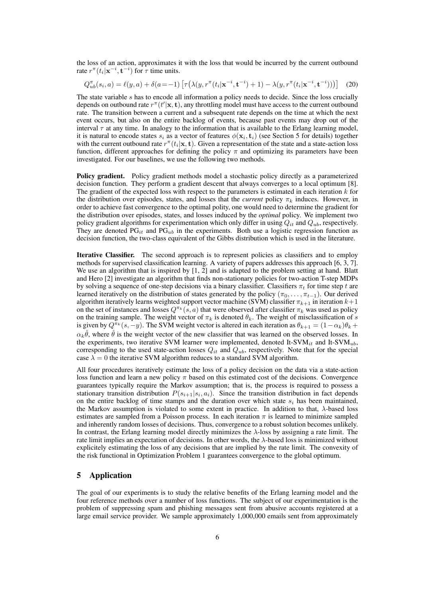the loss of an action, approximates it with the loss that would be incurred by the current outbound rate  $r^{\pi}(t_i|\mathbf{x}^{-i}, \mathbf{t}^{-i})$  for  $\tau$  time units.

$$
Q_{ub}^{\pi}(s_i, a) = \ell(y, a) + \delta(a = -1) \left[ \tau(\lambda(y, r^{\pi}(t_i | \mathbf{x}^{-i}, \mathbf{t}^{-i}) + 1) - \lambda(y, r^{\pi}(t_i | \mathbf{x}^{-i}, \mathbf{t}^{-i})) ) \right]
$$
(20)

The state variable *s* has to encode all information a policy needs to decide. Since the loss crucially depends on outbound rate  $r^{\pi}(t'|\mathbf{x}, \mathbf{t})$ , any throttling model must have access to the current outbound rate. The transition between a current and a subsequent rate depends on the time at which the next event occurs, but also on the entire backlog of events, because past events may drop out of the interval  $\tau$  at any time. In analogy to the information that is available to the Erlang learning model, it is natural to encode states  $s_i$  as a vector of features  $\phi(\mathbf{x}_i, \mathbf{t}_i)$  (see Section 5 for details) together with the current outbound rate  $r^{\pi}(t_i|\mathbf{x}, \mathbf{t})$ . Given a representation of the state and a state-action loss function, different approaches for defining the policy  $\pi$  and optimizing its parameters have been investigated. For our baselines, we use the following two methods.

Policy gradient. Policy gradient methods model a stochastic policy directly as a parameterized decision function. They perform a gradient descent that always converges to a local optimum [8]. The gradient of the expected loss with respect to the parameters is estimated in each iteration *k* for the distribution over episodes, states, and losses that the *current* policy *π<sup>k</sup>* induces. However, in order to achieve fast convergence to the optimal polity, one would need to determine the gradient for the distribution over episodes, states, and losses induced by the *optimal* policy. We implement two policy gradient algorithms for experimentation which only differ in using *Qit* and *Qub*, respectively. They are denoted  $PG_{it}$  and  $PG_{ub}$  in the experiments. Both use a logistic regression function as decision function, the two-class equivalent of the Gibbs distribution which is used in the literature.

Iterative Classifier. The second approach is to represent policies as classifiers and to employ methods for supervised classification learning. A variety of papers addresses this approach [6, 3, 7]. We use an algorithm that is inspired by  $[1, 2]$  and is adapted to the problem setting at hand. Blatt and Hero [2] investigate an algorithm that finds non-stationary policies for two-action T-step MDPs by solving a sequence of one-step decisions via a binary classifier. Classifiers  $\pi_t$  for time step *t* are learned iteratively on the distribution of states generated by the policy ( $\pi_0, \ldots, \pi_{t-1}$ ). Our derived algorithm iteratively learns weighted support vector machine (SVM) classifier *πk*+1 in iteration *k*+1 on the set of instances and losses  $Q^{\pi_k}(s, a)$  that were observed after classifier  $\pi_k$  was used as policy on the training sample. The weight vector of  $\pi_k$  is denoted  $\theta_k$ . The weight of misclassification of *s* is given by  $Q^{\pi_k}(s, -y)$ . The SVM weight vector is altered in each iteration as  $\theta_{k+1} = (1 - \alpha_k)\theta_k +$  $\alpha_k \hat{\theta}$ , where  $\hat{\theta}$  is the weight vector of the new classifier that was learned on the observed losses. In the experiments, two iterative SVM learner were implemented, denoted It-SVM*it* and It-SVM*ub*, corresponding to the used state-action losses  $Q_{it}$  and  $Q_{ub}$ , respectively. Note that for the special case  $\lambda = 0$  the iterative SVM algorithm reduces to a standard SVM algorithm.

All four procedures iteratively estimate the loss of a policy decision on the data via a state-action loss function and learn a new policy  $\pi$  based on this estimated cost of the decisions. Convergence guarantees typically require the Markov assumption; that is, the process is required to possess a stationary transition distribution  $P(s_{i+1}|s_i, a_i)$ . Since the transition distribution in fact depends on the entire backlog of time stamps and the duration over which state  $s_i$  has been maintained, the Markov assumption is violated to some extent in practice. In addition to that, *λ*-based loss estimates are sampled from a Poisson process. In each iteration  $\pi$  is learned to minimize sampled and inherently random losses of decisions. Thus, convergence to a robust solution becomes unlikely. In contrast, the Erlang learning model directly minimizes the *λ*-loss by assigning a rate limit. The rate limit implies an expectation of decisions. In other words, the *λ*-based loss is minimized without explicitely estimating the loss of any decisions that are implied by the rate limit. The convexity of the risk functional in Optimization Problem 1 guarantees convergence to the global optimum.

## 5 Application

The goal of our experiments is to study the relative benefits of the Erlang learning model and the four reference methods over a number of loss functions. The subject of our experimentation is the problem of suppressing spam and phishing messages sent from abusive accounts registered at a large email service provider. We sample approximately 1,000,000 emails sent from approximately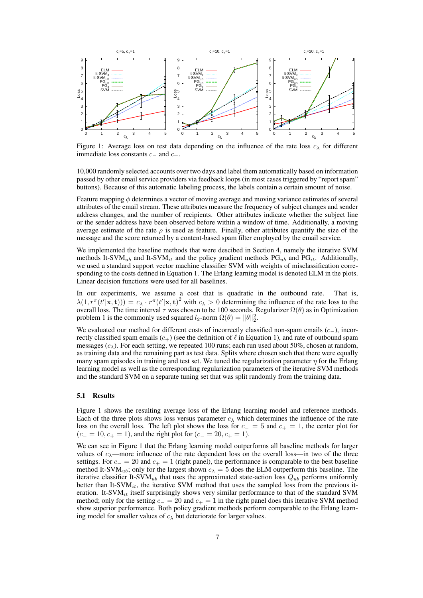

Figure 1: Average loss on test data depending on the influence of the rate loss  $c<sub>\lambda</sub>$  for different immediate loss constants *c<sup>−</sup>* and *c*+.

10,000 randomly selected accounts over two days and label them automatically based on information passed by other email service providers via feedback loops (in most cases triggered by "report spam" buttons). Because of this automatic labeling process, the labels contain a certain smount of noise.

Feature mapping *ϕ* determines a vector of moving average and moving variance estimates of several attributes of the email stream. These attributes measure the frequency of subject changes and sender address changes, and the number of recipients. Other attributes indicate whether the subject line or the sender address have been observed before within a window of time. Additionally, a moving average estimate of the rate  $\rho$  is used as feature. Finally, other attributes quantify the size of the message and the score returned by a content-based spam filter employed by the email service.

We implemented the baseline methods that were descibed in Section 4, namely the iterative SVM methods It-SVM*ub* and It-SVM*it* and the policy gradient methods PG*ub* and PG*it*. Additionally, we used a standard support vector machine classifier SVM with weights of misclassification corresponding to the costs defined in Equation 1. The Erlang learning model is denoted ELM in the plots. Linear decision functions were used for all baselines.

In our experiments, we assume a cost that is quadratic in the outbound rate. That is,  $\lambda(1, r^{\pi}(t'|\mathbf{x}, \mathbf{t}))) = c_{\lambda} \cdot r^{\pi}(t'|\mathbf{x}, \mathbf{t})^2$  with  $c_{\lambda} > 0$  determining the influence of the rate loss to the overall loss. The time interval *τ* was chosen to be 100 seconds. Regularizer Ω(*θ*) as in Optimization problem 1 is the commonly used squared  $l_2$ -norm  $\Omega(\theta) = ||\theta||_2^2$ .

We evaluated our method for different costs of incorrectly classified non-spam emails (*c−*), incorrectly classified spam emails  $(c_{+})$  (see the definition of  $\ell$  in Equation 1), and rate of outbound spam messages  $(c_{\lambda})$ . For each setting, we repeated 100 runs; each run used about 50%, chosen at random, as training data and the remaining part as test data. Splits where chosen such that there were equally many spam episodes in training and test set. We tuned the regularization parameter  $\eta$  for the Erlang learning model as well as the corresponding regularization parameters of the iterative SVM methods and the standard SVM on a separate tuning set that was split randomly from the training data.

#### 5.1 Results

Figure 1 shows the resulting average loss of the Erlang learning model and reference methods. Each of the three plots shows loss versus parameter  $c_{\lambda}$  which determines the influence of the rate loss on the overall loss. The left plot shows the loss for *c<sup>−</sup>* = 5 and *c*<sup>+</sup> = 1, the center plot for  $(c_+ = 10, c_+ = 1)$ , and the right plot for  $(c_- = 20, c_+ = 1)$ .

We can see in Figure 1 that the Erlang learning model outperforms all baseline methods for larger values of  $c_{\lambda}$ —more influence of the rate dependent loss on the overall loss—in two of the three settings. For  $c_− = 20$  and  $c_+ = 1$  (right panel), the performance is comparable to the best baseline method It-SVM<sub>*ub*</sub>; only for the largest shown  $c_{\lambda} = 5$  does the ELM outperform this baseline. The iterative classifier It-SVM*ub* that uses the approximated state-action loss *Qub* performs uniformly better than It-SVM<sub>*it*</sub>, the iterative SVM method that uses the sampled loss from the previous iteration. It-SVM*it* itself surprisingly shows very similar performance to that of the standard SVM method; only for the setting *c<sup>−</sup>* = 20 and *c*<sup>+</sup> = 1 in the right panel does this iterative SVM method show superior performance. Both policy gradient methods perform comparable to the Erlang learning model for smaller values of  $c_{\lambda}$  but deteriorate for larger values.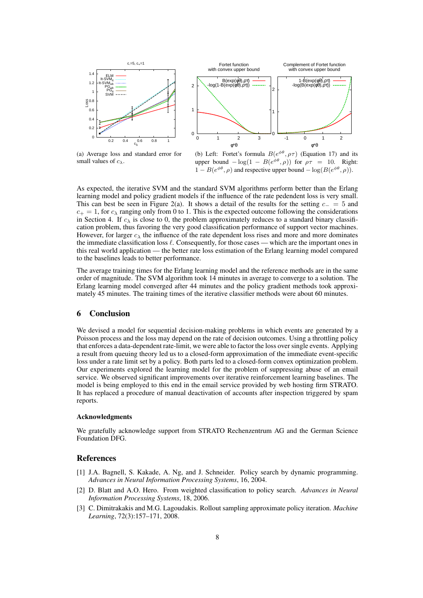

(a) Average loss and standard error for small values of *cλ*.

(b) Left: Fortet's formula  $B(e^{\phi\theta}, \rho\tau)$  (Equation 17) and its upper bound  $-\log(1 - B(e^{\phi \theta}, \rho))$  for  $\rho \tau = 10$ . Right:  $1 - B(e^{\phi \theta}, \rho)$  and respective upper bound  $-\log(B(e^{\phi \theta}, \rho)).$ 

As expected, the iterative SVM and the standard SVM algorithms perform better than the Erlang learning model and policy gradient models if the influence of the rate pedendent loss is very small. This can best be seen in Figure 2(a). It shows a detail of the results for the setting *c<sup>−</sup>* = 5 and  $c_{+} = 1$ , for  $c_{\lambda}$  ranging only from 0 to 1. This is the expected outcome following the considerations in Section 4. If  $c_{\lambda}$  is close to 0, the problem approximately reduces to a standard binary classification problem, thus favoring the very good classification performance of support vector machines. However, for larger  $c_{\lambda}$  the influence of the rate dependent loss rises and more and more dominates the immediate classification loss *ℓ*. Consequently, for those cases — which are the important ones in this real world application — the better rate loss estimation of the Erlang learning model compared to the baselines leads to better performance.

The average training times for the Erlang learning model and the reference methods are in the same order of magnitude. The SVM algorithm took 14 minutes in average to converge to a solution. The Erlang learning model converged after 44 minutes and the policy gradient methods took approximately 45 minutes. The training times of the iterative classifier methods were about 60 minutes.

## 6 Conclusion

We devised a model for sequential decision-making problems in which events are generated by a Poisson process and the loss may depend on the rate of decision outcomes. Using a throttling policy that enforces a data-dependent rate-limit, we were able to factor the loss over single events. Applying a result from queuing theory led us to a closed-form approximation of the immediate event-specific loss under a rate limit set by a policy. Both parts led to a closed-form convex optimization problem. Our experiments explored the learning model for the problem of suppressing abuse of an email service. We observed significant improvements over iterative reinforcement learning baselines. The model is being employed to this end in the email service provided by web hosting firm STRATO. It has replaced a procedure of manual deactivation of accounts after inspection triggered by spam reports.

#### Acknowledgments

We gratefully acknowledge support from STRATO Rechenzentrum AG and the German Science Foundation DFG.

## References

- [1] J.A. Bagnell, S. Kakade, A. Ng, and J. Schneider. Policy search by dynamic programming. *Advances in Neural Information Processing Systems*, 16, 2004.
- [2] D. Blatt and A.O. Hero. From weighted classification to policy search. *Advances in Neural Information Processing Systems*, 18, 2006.
- [3] C. Dimitrakakis and M.G. Lagoudakis. Rollout sampling approximate policy iteration. *Machine Learning*, 72(3):157–171, 2008.